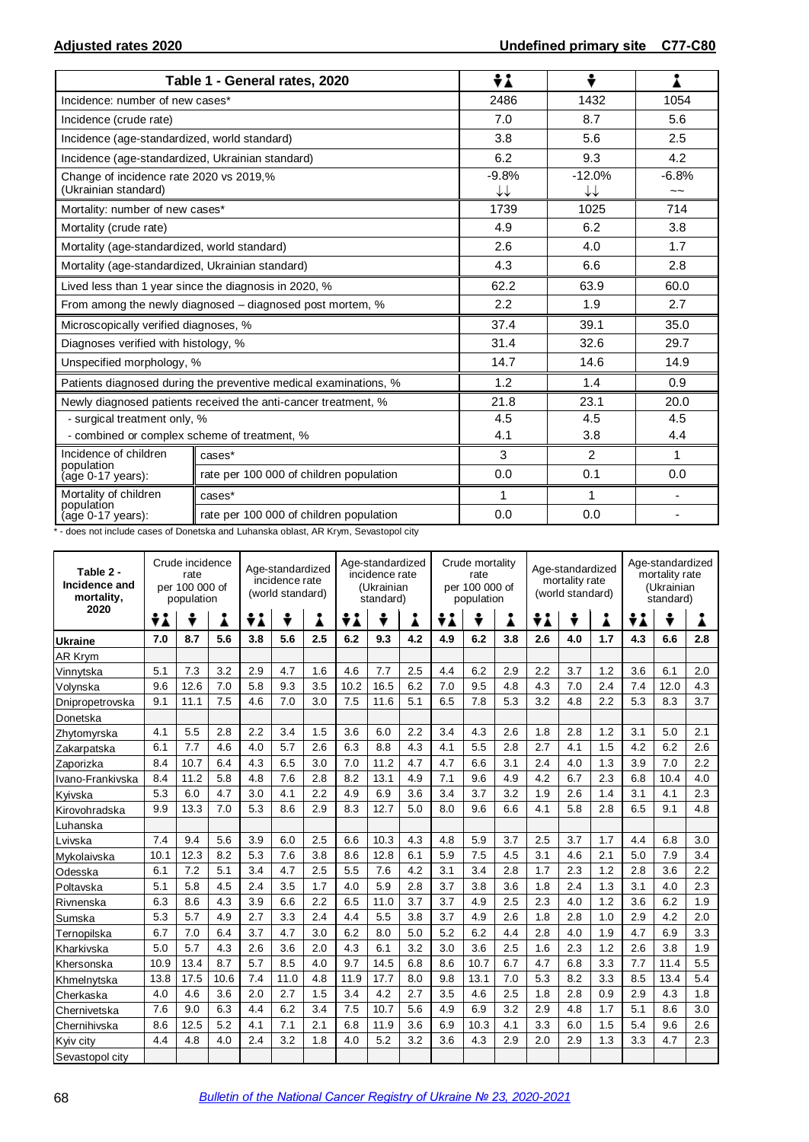|                                                                 | Table 1 - General rates, 2020                                    | ÷i            | ÷              | 1                        |  |
|-----------------------------------------------------------------|------------------------------------------------------------------|---------------|----------------|--------------------------|--|
| Incidence: number of new cases*                                 |                                                                  | 2486          | 1432           | 1054                     |  |
| Incidence (crude rate)                                          |                                                                  | 7.0           | 8.7            | 5.6                      |  |
| Incidence (age-standardized, world standard)                    |                                                                  | 3.8           | 5.6            | 2.5                      |  |
| Incidence (age-standardized, Ukrainian standard)                |                                                                  | 6.2           | 9.3            | 4.2                      |  |
| Change of incidence rate 2020 vs 2019,%<br>(Ukrainian standard) |                                                                  | $-9.8%$<br>↓↓ | $-12.0%$<br>↓↓ | $-6.8%$<br>$\sim$ $\sim$ |  |
| Mortality: number of new cases*                                 |                                                                  | 1739          | 1025           | 714                      |  |
| Mortality (crude rate)                                          |                                                                  | 4.9           | 6.2            | 3.8                      |  |
| Mortality (age-standardized, world standard)                    |                                                                  | 2.6           | 4.0            | 1.7                      |  |
| Mortality (age-standardized, Ukrainian standard)                |                                                                  | 4.3           | 6.6            | 2.8                      |  |
|                                                                 | Lived less than 1 year since the diagnosis in 2020, %            | 62.2          | 63.9           | 60.0                     |  |
|                                                                 | From among the newly diagnosed - diagnosed post mortem, %        | 2.2           | 1.9            | 2.7                      |  |
| Microscopically verified diagnoses, %                           |                                                                  | 37.4          | 39.1           | 35.0                     |  |
| Diagnoses verified with histology, %                            |                                                                  | 31.4          | 32.6           | 29.7                     |  |
| Unspecified morphology, %                                       |                                                                  | 14.7          | 14.6           | 14.9                     |  |
|                                                                 | Patients diagnosed during the preventive medical examinations, % | 1.2           | 1.4            | 0.9                      |  |
|                                                                 | Newly diagnosed patients received the anti-cancer treatment, %   | 21.8          | 23.1           | 20.0                     |  |
| - surgical treatment only, %                                    |                                                                  | 4.5           | 4.5<br>4.5     |                          |  |
| - combined or complex scheme of treatment, %                    |                                                                  | 4.1           | 3.8            | 4.4                      |  |
| Incidence of children<br>population                             | cases*                                                           | 3             | $\overline{2}$ | $\mathbf 1$              |  |
| (age 0-17 years):                                               | rate per 100 000 of children population                          | 0.0           | 0.1            | 0.0                      |  |
| Mortality of children                                           | cases*                                                           | 1             | 1              |                          |  |
| population<br>(age 0-17 years):                                 | rate per 100 000 of children population                          | 0.0           | 0.0            |                          |  |

\* - does not include cases of Donetska and Luhanska oblast, AR Krym, Sevastopol city

| Table 2 -<br>Incidence and<br>mortality, | Crude incidence<br>Age-standardized<br>rate<br>incidence rate<br>per 100 000 of<br>(world standard)<br>population |      |      |     |      |     | Age-standardized<br>incidence rate<br>(Ukrainian<br>standard) |      |     | Crude mortality<br>rate<br>per 100 000 of<br>population |      |     | Age-standardized<br>mortality rate<br>(world standard) |     |     | Age-standardized<br>mortality rate<br>(Ukrainian<br>standard) |      |     |
|------------------------------------------|-------------------------------------------------------------------------------------------------------------------|------|------|-----|------|-----|---------------------------------------------------------------|------|-----|---------------------------------------------------------|------|-----|--------------------------------------------------------|-----|-----|---------------------------------------------------------------|------|-----|
| 2020                                     | ÷i                                                                                                                | ÷    | i    | ÷λ  | ÷    | Å   | ÷i                                                            | ÷    | Å   | ÷i                                                      | ÷    |     | ÷i<br>÷                                                |     | Å   | ÷λ                                                            | ÷    | Å   |
| Ukraine                                  | 7.0                                                                                                               | 8.7  | 5.6  | 3.8 | 5.6  | 2.5 | 6.2                                                           | 9.3  | 4.2 | 4.9                                                     | 6.2  | 3.8 | 2.6                                                    | 4.0 | 1.7 | 4.3                                                           | 6.6  | 2.8 |
| AR Krym                                  |                                                                                                                   |      |      |     |      |     |                                                               |      |     |                                                         |      |     |                                                        |     |     |                                                               |      |     |
| Vinnvtska                                | 5.1                                                                                                               | 7.3  | 3.2  | 2.9 | 4.7  | 1.6 | 4.6                                                           | 7.7  | 2.5 | 4.4                                                     | 6.2  | 2.9 | 2.2                                                    | 3.7 | 1.2 | 3.6                                                           | 6.1  | 2.0 |
| Volynska                                 | 9.6                                                                                                               | 12.6 | 7.0  | 5.8 | 9.3  | 3.5 | 10.2                                                          | 16.5 | 6.2 | 7.0                                                     | 9.5  | 4.8 | 4.3                                                    | 7.0 | 2.4 | 7.4                                                           | 12.0 | 4.3 |
| Dnipropetrovska                          | 9.1                                                                                                               | 11.1 | 7.5  | 4.6 | 7.0  | 3.0 | 7.5                                                           | 11.6 | 5.1 | 6.5                                                     | 7.8  | 5.3 | 3.2                                                    | 4.8 | 2.2 | 5.3                                                           | 8.3  | 3.7 |
| Donetska                                 |                                                                                                                   |      |      |     |      |     |                                                               |      |     |                                                         |      |     |                                                        |     |     |                                                               |      |     |
| Zhytomyrska                              | 4.1                                                                                                               | 5.5  | 2.8  | 2.2 | 3.4  | 1.5 | 3.6                                                           | 6.0  | 2.2 | 3.4                                                     | 4.3  | 2.6 | 1.8                                                    | 2.8 | 1.2 | 3.1                                                           | 5.0  | 2.1 |
| Zakarpatska                              | 6.1                                                                                                               | 7.7  | 4.6  | 4.0 | 5.7  | 2.6 | 6.3                                                           | 8.8  | 4.3 | 4.1                                                     | 5.5  | 2.8 | 2.7                                                    | 4.1 | 1.5 | 4.2                                                           | 6.2  | 2.6 |
| Zaporizka                                | 8.4                                                                                                               | 10.7 | 6.4  | 4.3 | 6.5  | 3.0 | 7.0                                                           | 11.2 | 4.7 | 4.7                                                     | 6.6  | 3.1 | 2.4                                                    | 4.0 | 1.3 | 3.9                                                           | 7.0  | 2.2 |
| Ivano-Frankivska                         | 8.4                                                                                                               | 11.2 | 5.8  | 4.8 | 7.6  | 2.8 | 8.2                                                           | 13.1 | 4.9 | 7.1                                                     | 9.6  | 4.9 | 4.2                                                    | 6.7 | 2.3 | 6.8                                                           | 10.4 | 4.0 |
| Kyivska                                  | 5.3                                                                                                               | 6.0  | 4.7  | 3.0 | 4.1  | 2.2 | 4.9                                                           | 6.9  | 3.6 | 3.4                                                     | 3.7  | 3.2 | 1.9                                                    | 2.6 | 1.4 | 3.1                                                           | 4.1  | 2.3 |
| Kirovohradska                            | 9.9                                                                                                               | 13.3 | 7.0  | 5.3 | 8.6  | 2.9 | 8.3                                                           | 12.7 | 5.0 | 8.0                                                     | 9.6  | 6.6 | 4.1                                                    | 5.8 | 2.8 | 6.5                                                           | 9.1  | 4.8 |
| Luhanska                                 |                                                                                                                   |      |      |     |      |     |                                                               |      |     |                                                         |      |     |                                                        |     |     |                                                               |      |     |
| Lvivska                                  | 7.4                                                                                                               | 9.4  | 5.6  | 3.9 | 6.0  | 2.5 | 6.6                                                           | 10.3 | 4.3 | 4.8                                                     | 5.9  | 3.7 | 2.5                                                    | 3.7 | 1.7 | 4.4                                                           | 6.8  | 3.0 |
| Mykolaivska                              | 10.1                                                                                                              | 12.3 | 8.2  | 5.3 | 7.6  | 3.8 | 8.6                                                           | 12.8 | 6.1 | 5.9                                                     | 7.5  | 4.5 | 3.1                                                    | 4.6 | 2.1 | 5.0                                                           | 7.9  | 3.4 |
| Odesska                                  | 6.1                                                                                                               | 7.2  | 5.1  | 3.4 | 4.7  | 2.5 | 5.5                                                           | 7.6  | 4.2 | 3.1                                                     | 3.4  | 2.8 | 1.7                                                    | 2.3 | 1.2 | 2.8                                                           | 3.6  | 2.2 |
| Poltavska                                | 5.1                                                                                                               | 5.8  | 4.5  | 2.4 | 3.5  | 1.7 | 4.0                                                           | 5.9  | 2.8 | 3.7                                                     | 3.8  | 3.6 | 1.8                                                    | 2.4 | 1.3 | 3.1                                                           | 4.0  | 2.3 |
| Rivnenska                                | 6.3                                                                                                               | 8.6  | 4.3  | 3.9 | 6.6  | 2.2 | 6.5                                                           | 11.0 | 3.7 | 3.7                                                     | 4.9  | 2.5 | 2.3                                                    | 4.0 | 1.2 | 3.6                                                           | 6.2  | 1.9 |
| Sumska                                   | 5.3                                                                                                               | 5.7  | 4.9  | 2.7 | 3.3  | 2.4 | 4.4                                                           | 5.5  | 3.8 | 3.7                                                     | 4.9  | 2.6 | 1.8                                                    | 2.8 | 1.0 | 2.9                                                           | 4.2  | 2.0 |
| Ternopilska                              | 6.7                                                                                                               | 7.0  | 6.4  | 3.7 | 4.7  | 3.0 | 6.2                                                           | 8.0  | 5.0 | 5.2                                                     | 6.2  | 4.4 | 2.8                                                    | 4.0 | 1.9 | 4.7                                                           | 6.9  | 3.3 |
| Kharkivska                               | 5.0                                                                                                               | 5.7  | 4.3  | 2.6 | 3.6  | 2.0 | 4.3                                                           | 6.1  | 3.2 | 3.0                                                     | 3.6  | 2.5 | 1.6                                                    | 2.3 | 1.2 | 2.6                                                           | 3.8  | 1.9 |
| Khersonska                               | 10.9                                                                                                              | 13.4 | 8.7  | 5.7 | 8.5  | 4.0 | 9.7                                                           | 14.5 | 6.8 | 8.6                                                     | 10.7 | 6.7 | 4.7                                                    | 6.8 | 3.3 | 7.7                                                           | 11.4 | 5.5 |
| Khmelnytska                              | 13.8                                                                                                              | 17.5 | 10.6 | 7.4 | 11.0 | 4.8 | 11.9                                                          | 17.7 | 8.0 | 9.8                                                     | 13.1 | 7.0 | 5.3                                                    | 8.2 | 3.3 | 8.5                                                           | 13.4 | 5.4 |
| Cherkaska                                | 4.0                                                                                                               | 4.6  | 3.6  | 2.0 | 2.7  | 1.5 | 3.4                                                           | 4.2  | 2.7 | 3.5                                                     | 4.6  | 2.5 | 1.8                                                    | 2.8 | 0.9 | 2.9                                                           | 4.3  | 1.8 |
| Chernivetska                             | 7.6                                                                                                               | 9.0  | 6.3  | 4.4 | 6.2  | 3.4 | 7.5                                                           | 10.7 | 5.6 | 4.9                                                     | 6.9  | 3.2 | 2.9                                                    | 4.8 | 1.7 | 5.1                                                           | 8.6  | 3.0 |
| Chernihivska                             | 8.6                                                                                                               | 12.5 | 5.2  | 4.1 | 7.1  | 2.1 | 6.8                                                           | 11.9 | 3.6 | 6.9                                                     | 10.3 | 4.1 | 3.3                                                    | 6.0 | 1.5 | 5.4                                                           | 9.6  | 2.6 |
| Kyiv city                                | 4.4                                                                                                               | 4.8  | 4.0  | 2.4 | 3.2  | 1.8 | 4.0                                                           | 5.2  | 3.2 | 3.6                                                     | 4.3  | 2.9 | 2.0                                                    | 2.9 | 1.3 | 3.3                                                           | 4.7  | 2.3 |
| Sevastopol city                          |                                                                                                                   |      |      |     |      |     |                                                               |      |     |                                                         |      |     |                                                        |     |     |                                                               |      |     |